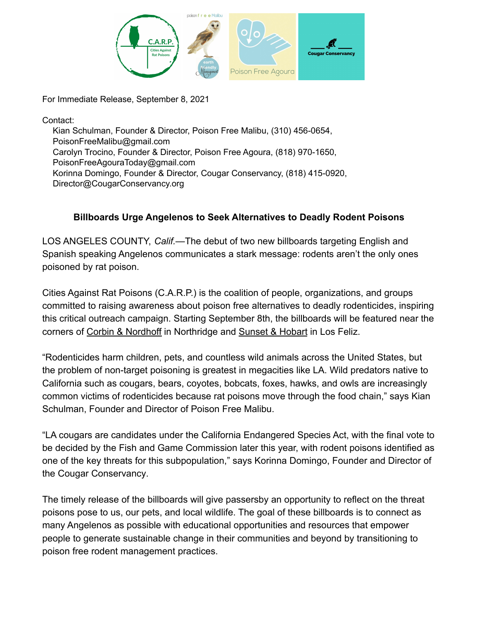

For Immediate Release, September 8, 2021

Contact:

Kian Schulman, Founder & Director, Poison Free Malibu, (310) 456-0654, PoisonFreeMalibu@gmail.com Carolyn Trocino, Founder & Director, Poison Free Agoura, (818) 970-1650, PoisonFreeAgouraToday@gmail.com Korinna Domingo, Founder & Director, Cougar Conservancy, (818) 415-0920, Director@CougarConservancy.org

## **Billboards Urge Angelenos to Seek Alternatives to Deadly Rodent Poisons**

LOS ANGELES COUNTY, *Calif.*—The debut of two new billboards targeting English and Spanish speaking Angelenos communicates a stark message: rodents aren't the only ones poisoned by rat poison.

Cities Against Rat Poisons (C.A.R.P.) is the coalition of people, organizations, and groups committed to raising awareness about poison free alternatives to deadly rodenticides, inspiring this critical outreach campaign. Starting September 8th, the billboards will be featured near the corners of [Corbin & Nordhoff](https://www.google.com/maps/place/Nordhoff+%2F+Corbin/@34.2321284,-118.702711,11z/data=!4m5!3m4!1s0x80c29b9de0d43f55:0xf03f329f15735bc2!8m2!3d34.232124!4d-118.56263) in Northridge and Sunset [& Hobart](https://www.google.com/maps/place/Sunset+Blvd+%26+Hobart+Blvd,+Los+Angeles,+CA+90027/@34.1026651,-118.6572104,10z/data=!4m5!3m4!1s0x80c2bf53f97b39cf:0xf8f2d8efa1d41f9d!8m2!3d34.098112!4d-118.3056425) in Los Feliz.

"Rodenticides harm children, pets, and countless wild animals across the United States, but the problem of non-target poisoning is greatest in megacities like LA. Wild predators native to California such as cougars, bears, coyotes, bobcats, foxes, hawks, and owls are increasingly common victims of rodenticides because rat poisons move through the food chain," says Kian Schulman, Founder and Director of Poison Free Malibu.

"LA cougars are candidates under the California Endangered Species Act, with the final vote to be decided by the Fish and Game Commission later this year, with rodent poisons identified as one of the key threats for this subpopulation," says Korinna Domingo, Founder and Director of the Cougar Conservancy.

The timely release of the billboards will give passersby an opportunity to reflect on the threat poisons pose to us, our pets, and local wildlife. The goal of these billboards is to connect as many Angelenos as possible with educational opportunities and resources that empower people to generate sustainable change in their communities and beyond by transitioning to poison free rodent management practices.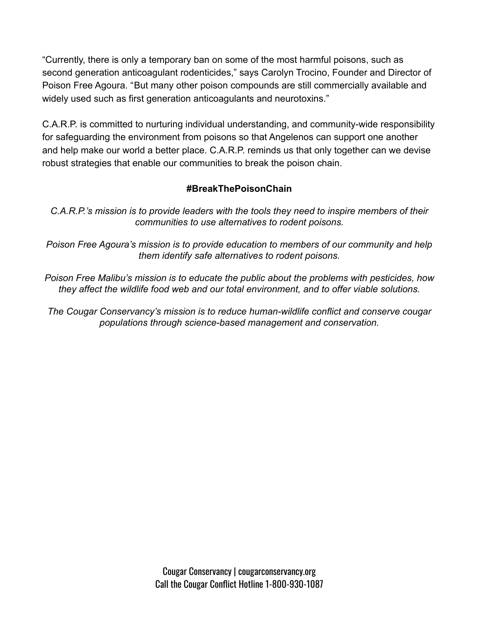"Currently, there is only a temporary ban on some of the most harmful poisons, such as second generation anticoagulant rodenticides," says Carolyn Trocino, Founder and Director of Poison Free Agoura. "But many other poison compounds are still commercially available and widely used such as first generation anticoagulants and neurotoxins."

C.A.R.P. is committed to nurturing individual understanding, and community-wide responsibility for safeguarding the environment from poisons so that Angelenos can support one another and help make our world a better place. C.A.R.P. reminds us that only together can we devise robust strategies that enable our communities to break the poison chain.

## **#BreakThePoisonChain**

*C.A.R.P.'s mission is to provide leaders with the tools they need to inspire members of their communities to use alternatives to rodent poisons.*

*Poison Free Agoura's mission is to provide education to members of our community and help them identify safe alternatives to rodent poisons.*

*Poison Free Malibu's mission is to educate the public about the problems with pesticides, how they affect the wildlife food web and our total environment, and to offer viable solutions.*

*The Cougar Conservancy's mission is to reduce human-wildlife conflict and conserve cougar populations through science-based management and conservation.*